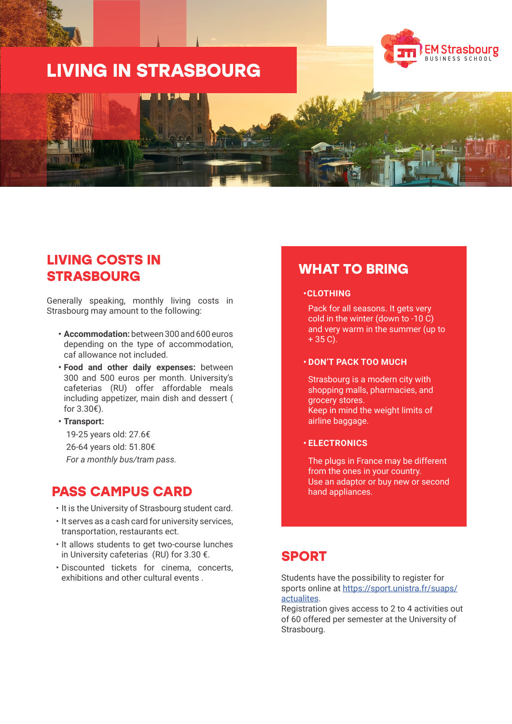# **LIVING IN STRASBOURG**





## **LIVING COSTS IN STRASBOURG**

Generally speaking, monthly living costs in Strasbourg may amount to the following:

- **• Accommodation:** between 300 and 600 euros depending on the type of accommodation, caf allowance not included.
- **• Food and other daily expenses:** between 300 and 500 euros per month. University's cafeterias (RU) offer affordable meals including appetizer, main dish and dessert ( for 3.30€).
- **• Transport:**  19-25 years old: 27.6€ 26-64 years old: 51.80€ *For a monthly bus/tram pass.*

### **PASS CAMPUS CARD**

- It is the University of Strasbourg student card.
- It serves as a cash card for university services, transportation, restaurants ect.
- It allows students to get two-course lunches in University cafeterias (RU) for 3.30 €.
- Discounted tickets for cinema, concerts, exhibitions and other cultural events

### **WHAT TO BRING**

#### **•CLOTHING**

Pack for all seasons. It gets very cold in the winter (down to -10 C) and very warm in the summer (up to  $+ 35 C$ ).

#### **• DON'T PACK TOO MUCH**

Strasbourg is a modern city with shopping malls, pharmacies, and grocery stores. Keep in mind the weight limits of airline baggage.

#### **• ELECTRONICS**

The plugs in France may be different from the ones in your country. Use an adaptor or buy new or second hand appliances.

### **SPORT**

Students have the possibility to register for sports online at https://sport.unistra.fr/suaps/ actualites.

Registration gives access to 2 to 4 activities out of 60 offered per semester at the University of Strasbourg.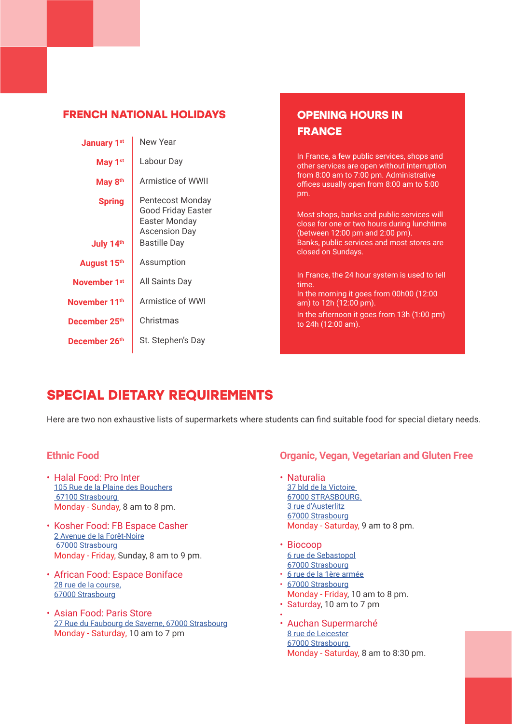### **FRENCH NATIONAL HOLIDAYS**

| <b>January 1st</b>         | New Year                                                                                                      |
|----------------------------|---------------------------------------------------------------------------------------------------------------|
| May 1 <sup>st</sup>        | Labour Day                                                                                                    |
| May 8 <sup>th</sup>        | Armistice of WWII                                                                                             |
| <b>Spring</b><br>July 14th | Pentecost Monday<br><b>Good Friday Easter</b><br>Easter Monday<br><b>Ascension Day</b><br><b>Bastille Day</b> |
| August 15th                | Assumption                                                                                                    |
| November 1 <sup>st</sup>   | All Saints Day                                                                                                |
| November 11 <sup>th</sup>  | Armistice of WWI                                                                                              |
| December 25 <sup>th</sup>  | Christmas                                                                                                     |
| December 26 <sup>th</sup>  | St. Stephen's Day                                                                                             |

### **OPENING HOURS IN FRANCE**

In France, a few public services, shops and other services are open without interruption from 8:00 am to 7:00 pm. Administrative offices usually open from 8:00 am to 5:00 pm.

Most shops, banks and public services will close for one or two hours during lunchtime (between 12:00 pm and 2:00 pm). Banks, public services and most stores are closed on Sundays.

In France, the 24 hour system is used to tell time. In the morning it goes from 00h00 (12:00 am) to 12h (12:00 pm).

In the afternoon it goes from 13h (1:00 pm) to 24h (12:00 am).

# **SPECIAL DIETARY REQUIREMENTS**

Here are two non exhaustive lists of supermarkets where students can find suitable food for special dietary needs.

### **Ethnic Food**

- Halal Food: Pro Inter 105 Rue de la Plaine des Bouchers 67100 Strasbourg Monday - Sunday, 8 am to 8 pm.
- Kosher Food: FB Espace Casher 2 Avenue de la Forêt-Noire 67000 Strasbourg Monday - Friday, Sunday, 8 am to 9 pm.
- African Food: Espace Boniface 28 rue de la course, 67000 Strasbourg
- Asian Food: Paris Store 27 Rue du Faubourg de Saverne, 67000 Strasbourg Monday - Saturday, 10 am to 7 pm

### **Organic, Vegan, Vegetarian and Gluten Free**

- Naturalia 37 bld de la Victoire 67000 STRASBOURG. 3 rue d'Austerlitz 67000 Strasbourg Monday - Saturday, 9 am to 8 pm.
- Biocoop 6 rue de Sebastopol 67000 Strasbourg
- 6 rue de la 1ère armée
- 67000 Strasbourg Monday - Friday, 10 am to 8 pm.
- Saturday, 10 am to 7 pm
- • Auchan Supermarché 8 rue de Leicester 67000 Strasbourg Monday - Saturday, 8 am to 8:30 pm.